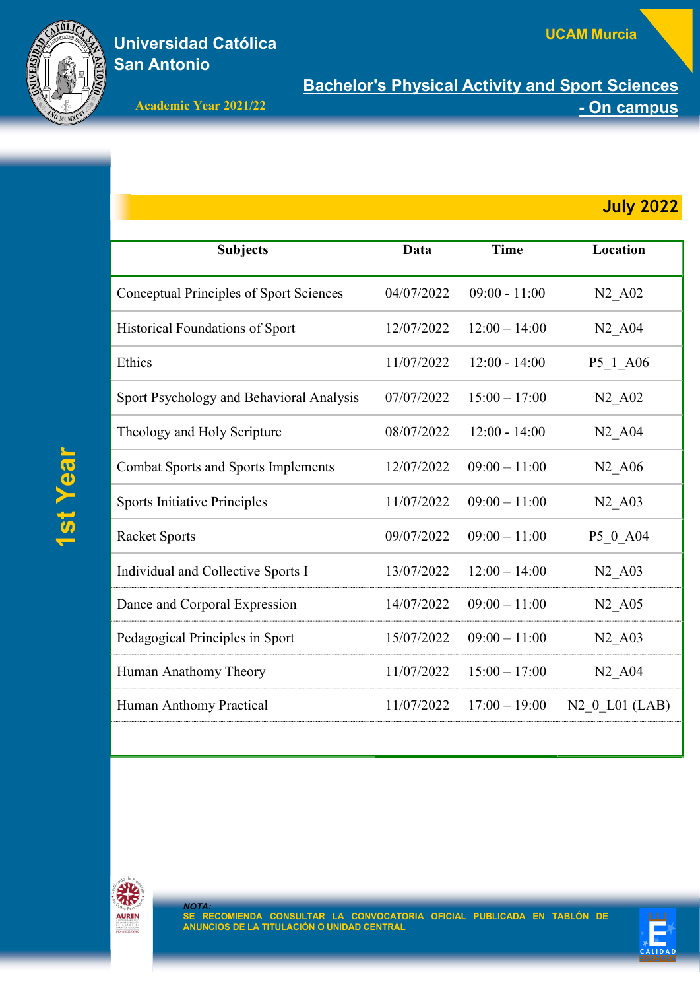

## Universidad Católica San Antonio

Bachelor's Physical Activity and Sport Sciences Academic Year 2021/22 **Academic Year 2021/22** 

| <b>Subjects</b>                                | Data       | <b>Time</b>     | Location                               |
|------------------------------------------------|------------|-----------------|----------------------------------------|
| <b>Conceptual Principles of Sport Sciences</b> | 04/07/2022 | $09:00 - 11:00$ | N <sub>2</sub> _A <sub>02</sub>        |
| Historical Foundations of Sport                | 12/07/2022 | $12:00 - 14:00$ | N <sub>2</sub> A <sub>04</sub>         |
| Ethics                                         | 11/07/2022 | $12:00 - 14:00$ | P5_1_A06                               |
| Sport Psychology and Behavioral Analysis       | 07/07/2022 | $15:00 - 17:00$ | $N2$ $A02$                             |
| Theology and Holy Scripture                    | 08/07/2022 | $12:00 - 14:00$ | N <sub>2</sub> A <sub>04</sub>         |
| <b>Combat Sports and Sports Implements</b>     | 12/07/2022 | $09:00 - 11:00$ | N <sub>2</sub> A <sub>06</sub>         |
| <b>Sports Initiative Principles</b>            | 11/07/2022 | $09:00 - 11:00$ | N <sub>2</sub> A <sub>03</sub>         |
| <b>Racket Sports</b>                           | 09/07/2022 | $09:00 - 11:00$ | P5 0 A04                               |
| Individual and Collective Sports I             | 13/07/2022 | $12:00 - 14:00$ | N <sub>2</sub> A <sub>03</sub>         |
| Dance and Corporal Expression                  | 14/07/2022 | $09:00 - 11:00$ | N <sub>2</sub> A <sub>05</sub>         |
| Pedagogical Principles in Sport                | 15/07/2022 | $09:00 - 11:00$ | $N2$ <sub><math>-</math></sub> A03     |
| Human Anathomy Theory                          | 11/07/2022 | $15:00 - 17:00$ | N <sub>2</sub> A <sub>04</sub>         |
| Human Anthomy Practical                        | 11/07/2022 | $17:00 - 19:00$ | N <sub>2</sub> 0 L <sub>01</sub> (LAB) |
|                                                |            |                 |                                        |





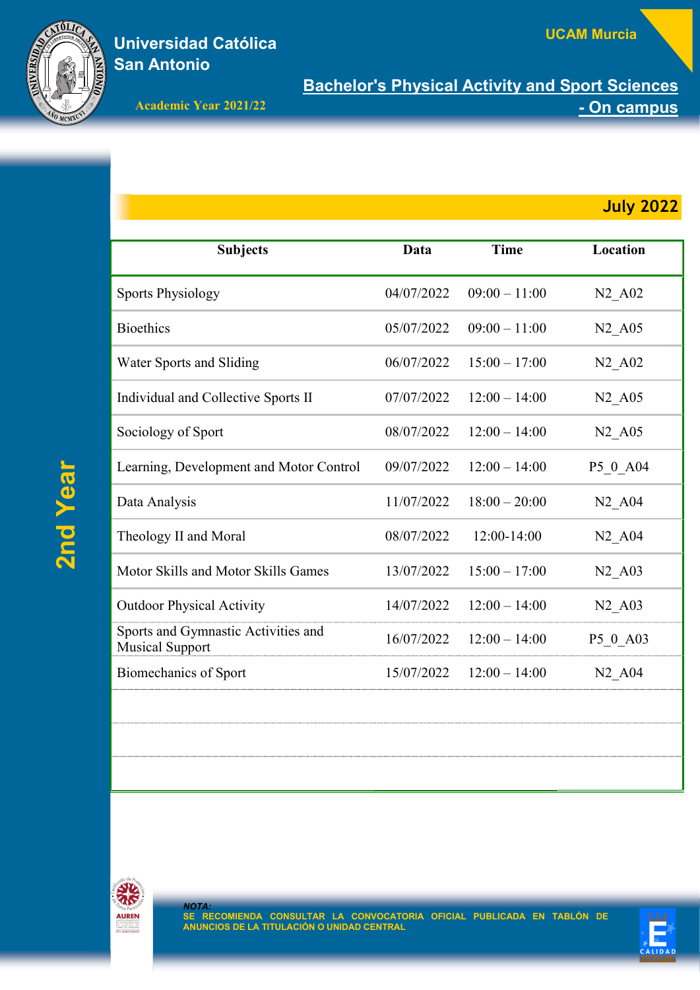

## Universidad Católica San Antonio

Bachelor's Physical Activity and Sport Sciences Academic Year 2021/22 **Academic Year 2021/22** 

| <b>Subjects</b>                                               | Data       | <b>Time</b>     | Location                       |
|---------------------------------------------------------------|------------|-----------------|--------------------------------|
| <b>Sports Physiology</b>                                      | 04/07/2022 | $09:00 - 11:00$ | $N2$ $A02$                     |
| <b>Bioethics</b>                                              | 05/07/2022 | $09:00 - 11:00$ | N <sub>2</sub> A <sub>05</sub> |
| Water Sports and Sliding                                      | 06/07/2022 | $15:00 - 17:00$ | N <sub>2</sub> A <sub>02</sub> |
| Individual and Collective Sports II                           | 07/07/2022 | $12:00 - 14:00$ | $N2$ $A05$                     |
| Sociology of Sport                                            | 08/07/2022 | $12:00 - 14:00$ | N <sub>2</sub> A <sub>05</sub> |
| Learning, Development and Motor Control                       | 09/07/2022 | $12:00 - 14:00$ | P5 0 A04                       |
| Data Analysis                                                 | 11/07/2022 | $18:00 - 20:00$ | N <sub>2</sub> A <sub>04</sub> |
| Theology II and Moral                                         | 08/07/2022 | $12:00-14:00$   | N <sub>2</sub> A <sub>04</sub> |
| Motor Skills and Motor Skills Games                           | 13/07/2022 | $15:00 - 17:00$ | N <sub>2</sub> A <sub>03</sub> |
| <b>Outdoor Physical Activity</b>                              | 14/07/2022 | $12:00 - 14:00$ | N <sub>2</sub> A <sub>03</sub> |
| Sports and Gymnastic Activities and<br><b>Musical Support</b> | 16/07/2022 | $12:00 - 14:00$ | P5 0 A03                       |
| <b>Biomechanics of Sport</b>                                  | 15/07/2022 | $12:00 - 14:00$ | N <sub>2</sub> A <sub>04</sub> |
|                                                               |            |                 |                                |





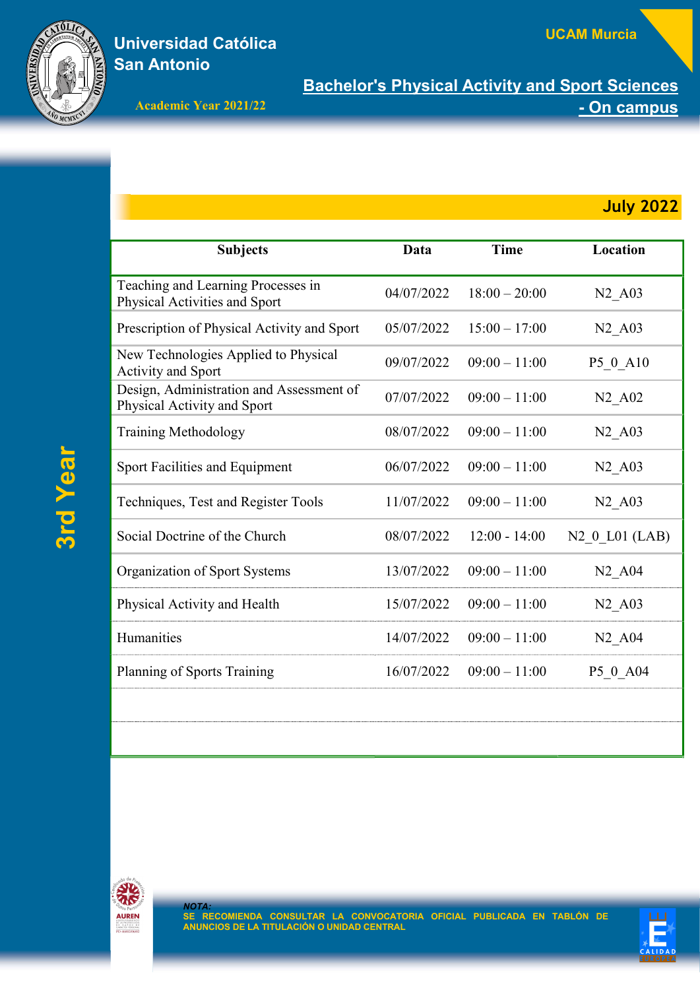

## Universidad Católica San Antonio

Bachelor's Physical Activity and Sport Sciences Academic Year 2021/22 **Academic Year 2021/22** 

| <b>Subjects</b>                                                         | Data       | <b>Time</b>     | Location                       |
|-------------------------------------------------------------------------|------------|-----------------|--------------------------------|
| Teaching and Learning Processes in<br>Physical Activities and Sport     | 04/07/2022 | $18:00 - 20:00$ | N <sub>2</sub> A <sub>03</sub> |
| Prescription of Physical Activity and Sport                             | 05/07/2022 | $15:00 - 17:00$ | N <sub>2</sub> A <sub>03</sub> |
| New Technologies Applied to Physical<br><b>Activity and Sport</b>       | 09/07/2022 | $09:00 - 11:00$ | P5 0 A10                       |
| Design, Administration and Assessment of<br>Physical Activity and Sport | 07/07/2022 | $09:00 - 11:00$ | N <sub>2</sub> A <sub>02</sub> |
| <b>Training Methodology</b>                                             | 08/07/2022 | $09:00 - 11:00$ | N <sub>2</sub> A <sub>03</sub> |
| Sport Facilities and Equipment                                          | 06/07/2022 | $09:00 - 11:00$ | N <sub>2</sub> A <sub>03</sub> |
| Techniques, Test and Register Tools                                     | 11/07/2022 | $09:00 - 11:00$ | N <sub>2</sub> A <sub>03</sub> |
| Social Doctrine of the Church                                           | 08/07/2022 | $12:00 - 14:00$ | $N2$ 0 L01 (LAB)               |
| Organization of Sport Systems                                           | 13/07/2022 | $09:00 - 11:00$ | N <sub>2</sub> A <sub>04</sub> |
| Physical Activity and Health                                            | 15/07/2022 | $09:00 - 11:00$ | N <sub>2</sub> A <sub>03</sub> |
| Humanities                                                              | 14/07/2022 | $09:00 - 11:00$ | N <sub>2</sub> A <sub>04</sub> |
| Planning of Sports Training                                             | 16/07/2022 | $09:00 - 11:00$ | P5 0 A04                       |
|                                                                         |            |                 |                                |
|                                                                         |            |                 |                                |